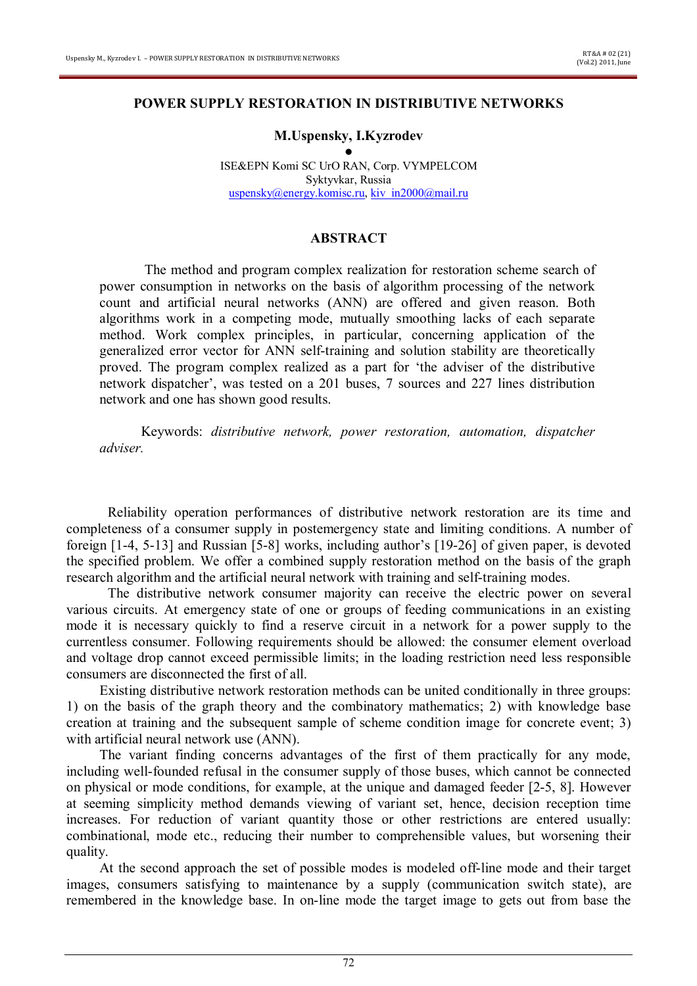### **POWER SUPPLY RESTORATION IN DISTRIBUTIVE NETWORKS**

## **M.Uspensky, I.Kyzrodev**

● ISE&EPN Komi SC UrO RAN, Corp. VYMPELCOM Syktyvkar, Russia uspensky@energy.komisc.ru, kiv in2000@mail.ru

# **ABSTRACT**

The method and program complex realization for restoration scheme search of power consumption in networks on the basis of algorithm processing of the network count and artificial neural networks (ANN) are offered and given reason. Both algorithms work in a competing mode, mutually smoothing lacks of each separate method. Work complex principles, in particular, concerning application of the generalized error vector for ANN self-training and solution stability are theoretically proved. The program complex realized as a part for 'the adviser of the distributive network dispatcher', was tested on a 201 buses, 7 sources and 227 lines distribution network and one has shown good results.

Keywords: *distributive network, power restoration, automation, dispatcher adviser.*

Reliability operation performances of distributive network restoration are its time and completeness of a consumer supply in postemergency state and limiting conditions. A number of foreign [1-4, 5-13] and Russian [5-8] works, including author's [19-26] of given paper, is devoted the specified problem. We offer a combined supply restoration method on the basis of the graph research algorithm and the artificial neural network with training and self-training modes.

The distributive network consumer majority can receive the electric power on several various circuits. At emergency state of one or groups of feeding communications in an existing mode it is necessary quickly to find a reserve circuit in a network for a power supply to the currentless consumer. Following requirements should be allowed: the consumer element overload and voltage drop cannot exceed permissible limits; in the loading restriction need less responsible consumers are disconnected the first of all.

Existing distributive network restoration methods can be united conditionally in three groups: 1) on the basis of the graph theory and the combinatory mathematics; 2) with knowledge base creation at training and the subsequent sample of scheme condition image for concrete event; 3) with artificial neural network use (ANN).

The variant finding concerns advantages of the first of them practically for any mode, including well-founded refusal in the consumer supply of those buses, which cannot be connected on physical or mode conditions, for example, at the unique and damaged feeder [2-5, 8]. However at seeming simplicity method demands viewing of variant set, hence, decision reception time increases. For reduction of variant quantity those or other restrictions are entered usually: combinational, mode etc., reducing their number to comprehensible values, but worsening their quality.

At the second approach the set of possible modes is modeled off-line mode and their target images, consumers satisfying to maintenance by a supply (communication switch state), are remembered in the knowledge base. In on-line mode the target image to gets out from base the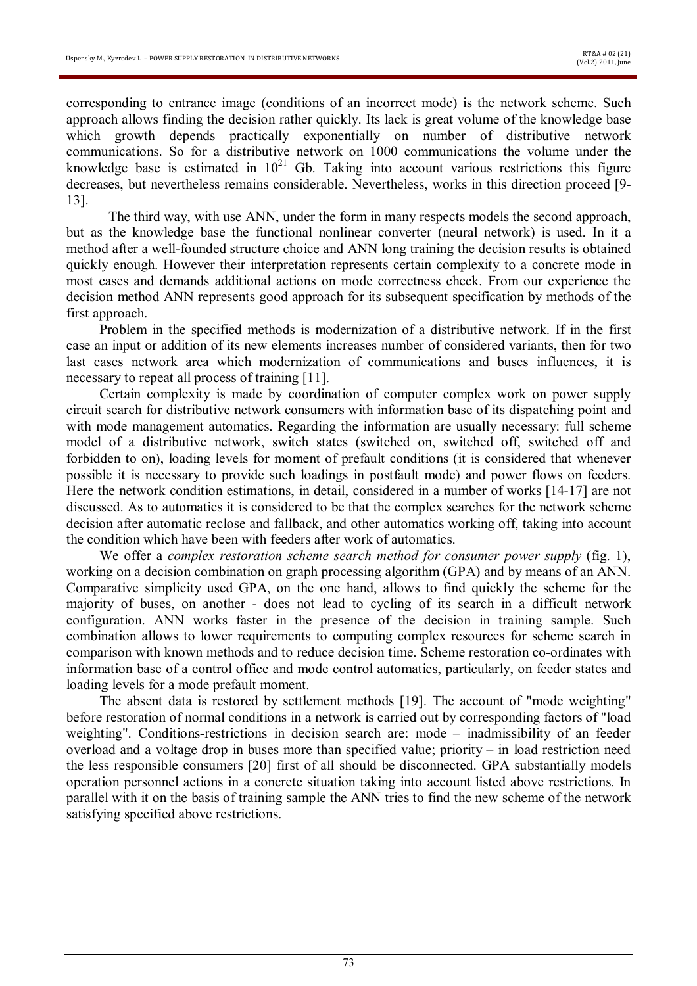corresponding to entrance image (conditions of an incorrect mode) is the network scheme. Such approach allows finding the decision rather quickly. Its lack is great volume of the knowledge base which growth depends practically exponentially on number of distributive network communications. So for a distributive network on 1000 communications the volume under the knowledge base is estimated in  $10^{21}$  Gb. Taking into account various restrictions this figure decreases, but nevertheless remains considerable. Nevertheless, works in this direction proceed [9- 13].

The third way, with use ANN, under the form in many respects models the second approach, but as the knowledge base the functional nonlinear converter (neural network) is used. In it a method after a well-founded structure choice and ANN long training the decision results is obtained quickly enough. However their interpretation represents certain complexity to a concrete mode in most cases and demands additional actions on mode correctness check. From our experience the decision method ANN represents good approach for its subsequent specification by methods of the first approach.

Problem in the specified methods is modernization of a distributive network. If in the first case an input or addition of its new elements increases number of considered variants, then for two last cases network area which modernization of communications and buses influences, it is necessary to repeat all process of training [11].

Certain complexity is made by coordination of computer complex work on power supply circuit search for distributive network consumers with information base of its dispatching point and with mode management automatics. Regarding the information are usually necessary: full scheme model of a distributive network, switch states (switched on, switched off, switched off and forbidden to on), loading levels for moment of prefault conditions (it is considered that whenever possible it is necessary to provide such loadings in postfault mode) and power flows on feeders. Here the network condition estimations, in detail, considered in a number of works [14-17] are not discussed. As to automatics it is considered to be that the complex searches for the network scheme decision after automatic reclose and fallback, and other automatics working off, taking into account the condition which have been with feeders after work of automatics.

We offer a *complex restoration scheme search method for consumer power supply* (fig. 1), working on a decision combination on graph processing algorithm (GPA) and by means of an ANN. Comparative simplicity used GPA, on the one hand, allows to find quickly the scheme for the majority of buses, on another - does not lead to cycling of its search in a difficult network configuration. ANN works faster in the presence of the decision in training sample. Such combination allows to lower requirements to computing complex resources for scheme search in comparison with known methods and to reduce decision time. Scheme restoration co-ordinates with information base of a control office and mode control automatics, particularly, on feeder states and loading levels for a mode prefault moment.

The absent data is restored by settlement methods [19]. The account of "mode weighting" before restoration of normal conditions in a network is carried out by corresponding factors of "load weighting". Conditions-restrictions in decision search are: mode – inadmissibility of an feeder overload and a voltage drop in buses more than specified value; priority – in load restriction need the less responsible consumers [20] first of all should be disconnected. GPA substantially models operation personnel actions in a concrete situation taking into account listed above restrictions. In parallel with it on the basis of training sample the ANN tries to find the new scheme of the network satisfying specified above restrictions.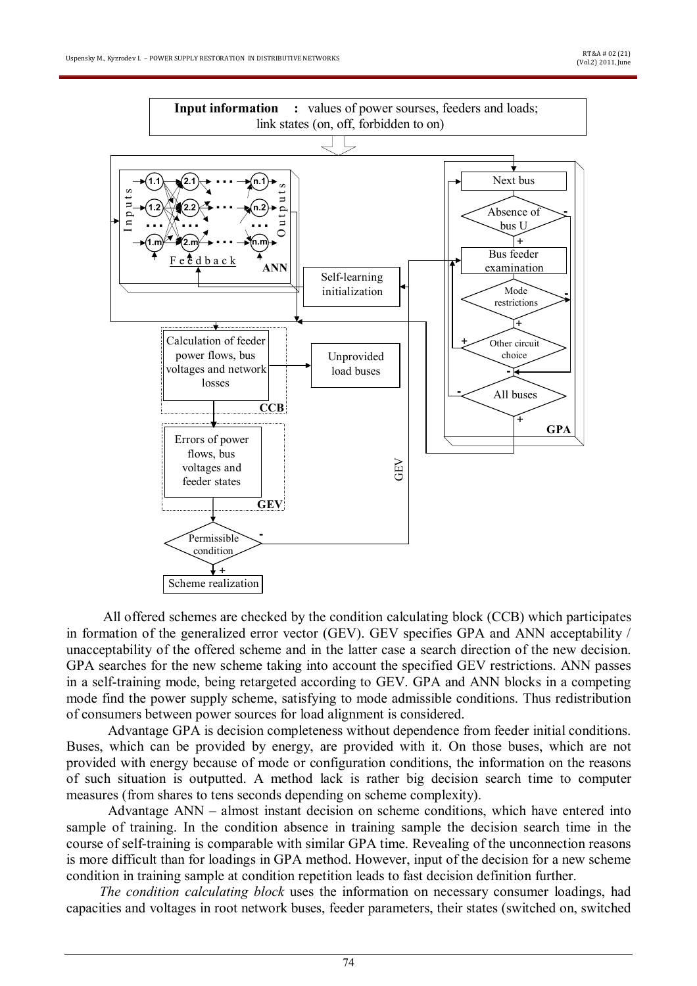

All offered schemes are checked by the condition calculating block (CCB) which participates in formation of the generalized error vector (GEV). GEV specifies GPA and ANN acceptability / unacceptability of the offered scheme and in the latter case a search direction of the new decision. GPA searches for the new scheme taking into account the specified GEV restrictions. ANN passes in a self-training mode, being retargeted according to GEV. GPA and ANN blocks in a competing mode find the power supply scheme, satisfying to mode admissible conditions. Thus redistribution of consumers between power sources for load alignment is considered.

Advantage GPA is decision completeness without dependence from feeder initial conditions. Buses, which can be provided by energy, are provided with it. On those buses, which are not provided with energy because of mode or configuration conditions, the information on the reasons of such situation is outputted. A method lack is rather big decision search time to computer measures (from shares to tens seconds depending on scheme complexity).

Advantage ANN – almost instant decision on scheme conditions, which have entered into sample of training. In the condition absence in training sample the decision search time in the course of self-training is comparable with similar GPA time. Revealing of the unconnection reasons is more difficult than for loadings in GPA method. However, input of the decision for a new scheme condition in training sample at condition repetition leads to fast decision definition further.

*The condition calculating block* uses the information on necessary consumer loadings, had capacities and voltages in root network buses, feeder parameters, their states (switched on, switched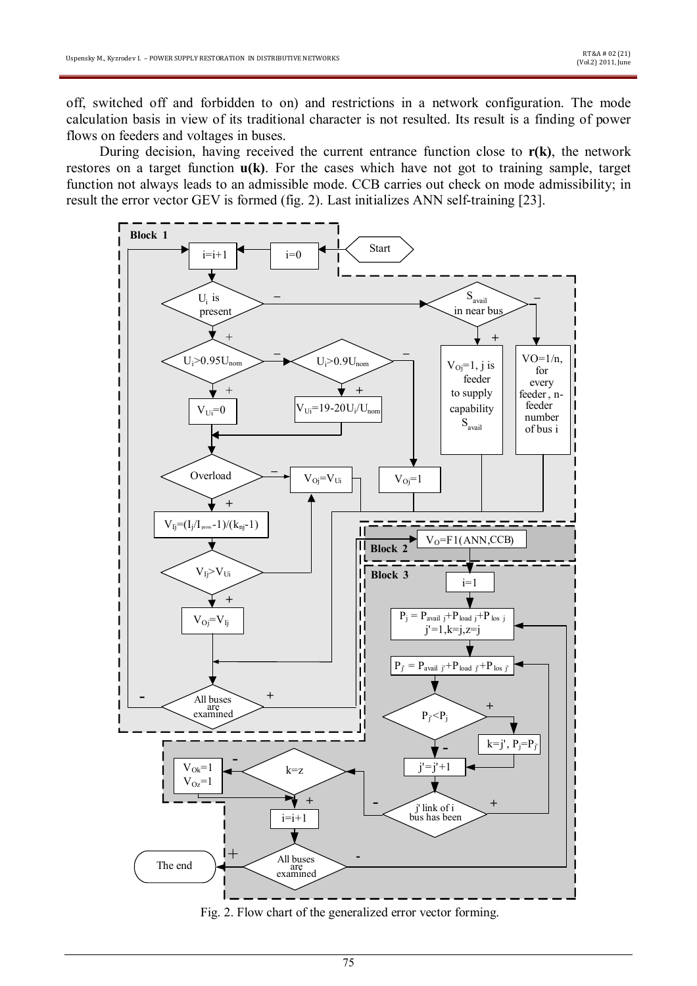off, switched off and forbidden to on) and restrictions in a network configuration. The mode calculation basis in view of its traditional character is not resulted. Its result is a finding of power flows on feeders and voltages in buses.

During decision, having received the current entrance function close to **r(k)**, the network restores on a target function **u(k)**. For the cases which have not got to training sample, target function not always leads to an admissible mode. CCB carries out check on mode admissibility; in result the error vector GEV is formed (fig. 2). Last initializes ANN self-training [23].



Fig. 2. Flow chart of the generalized error vector forming.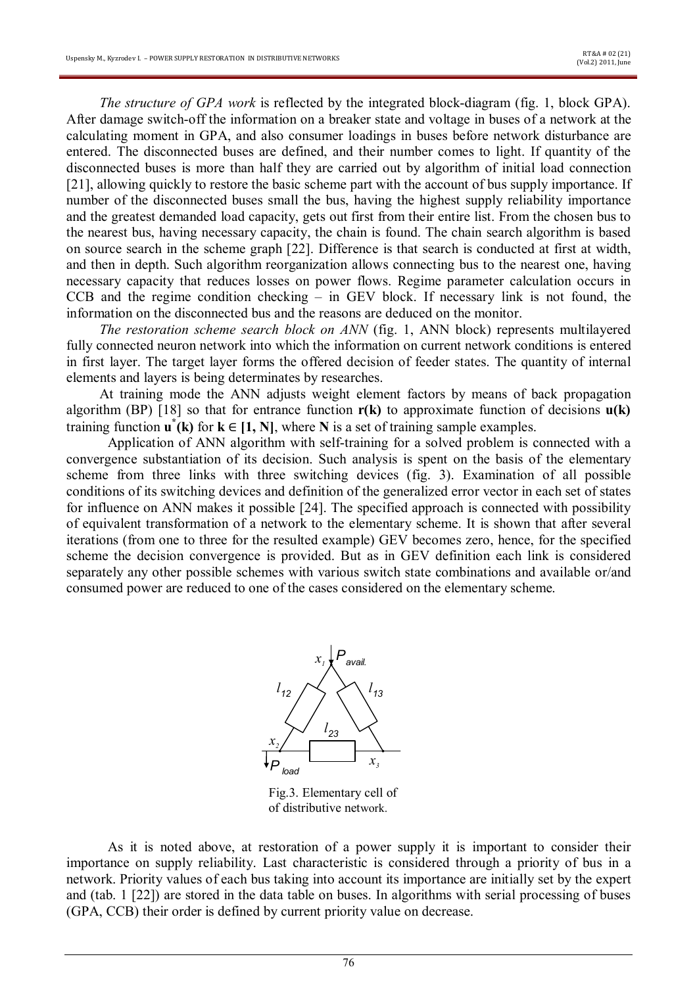*The structure of GPA work* is reflected by the integrated block-diagram (fig. 1, block GPA). After damage switch-off the information on a breaker state and voltage in buses of a network at the calculating moment in GPA, and also consumer loadings in buses before network disturbance are entered. The disconnected buses are defined, and their number comes to light. If quantity of the disconnected buses is more than half they are carried out by algorithm of initial load connection [21], allowing quickly to restore the basic scheme part with the account of bus supply importance. If number of the disconnected buses small the bus, having the highest supply reliability importance and the greatest demanded load capacity, gets out first from their entire list. From the chosen bus to the nearest bus, having necessary capacity, the chain is found. The chain search algorithm is based on source search in the scheme graph [22]. Difference is that search is conducted at first at width, and then in depth. Such algorithm reorganization allows connecting bus to the nearest one, having necessary capacity that reduces losses on power flows. Regime parameter calculation occurs in CCB and the regime condition checking – in GEV block. If necessary link is not found, the information on the disconnected bus and the reasons are deduced on the monitor.

*The restoration scheme search block on ANN* (fig. 1, ANN block) represents multilayered fully connected neuron network into which the information on current network conditions is entered in first layer. The target layer forms the offered decision of feeder states. The quantity of internal elements and layers is being determinates by researches.

At training mode the ANN adjusts weight element factors by means of back propagation algorithm (BP) [18] so that for entrance function **r(k)** to approximate function of decisions **u(k)** training function  $\mathbf{u}^*(\mathbf{k})$  for  $\mathbf{k} \in [1, N]$ , where N is a set of training sample examples.

Application of ANN algorithm with self-training for a solved problem is connected with a convergence substantiation of its decision. Such analysis is spent on the basis of the elementary scheme from three links with three switching devices (fig. 3). Examination of all possible conditions of its switching devices and definition of the generalized error vector in each set of states for influence on ANN makes it possible [24]. The specified approach is connected with possibility of equivalent transformation of a network to the elementary scheme. It is shown that after several iterations (from one to three for the resulted example) GEV becomes zero, hence, for the specified scheme the decision convergence is provided. But as in GEV definition each link is considered separately any other possible schemes with various switch state combinations and available or/and consumed power are reduced to one of the cases considered on the elementary scheme.



Fig.3. Elementary cell of of distributive network.

As it is noted above, at restoration of a power supply it is important to consider their importance on supply reliability. Last characteristic is considered through a priority of bus in a network. Priority values of each bus taking into account its importance are initially set by the expert and (tab. 1 [22]) are stored in the data table on buses. In algorithms with serial processing of buses (GPA, CCB) their order is defined by current priority value on decrease.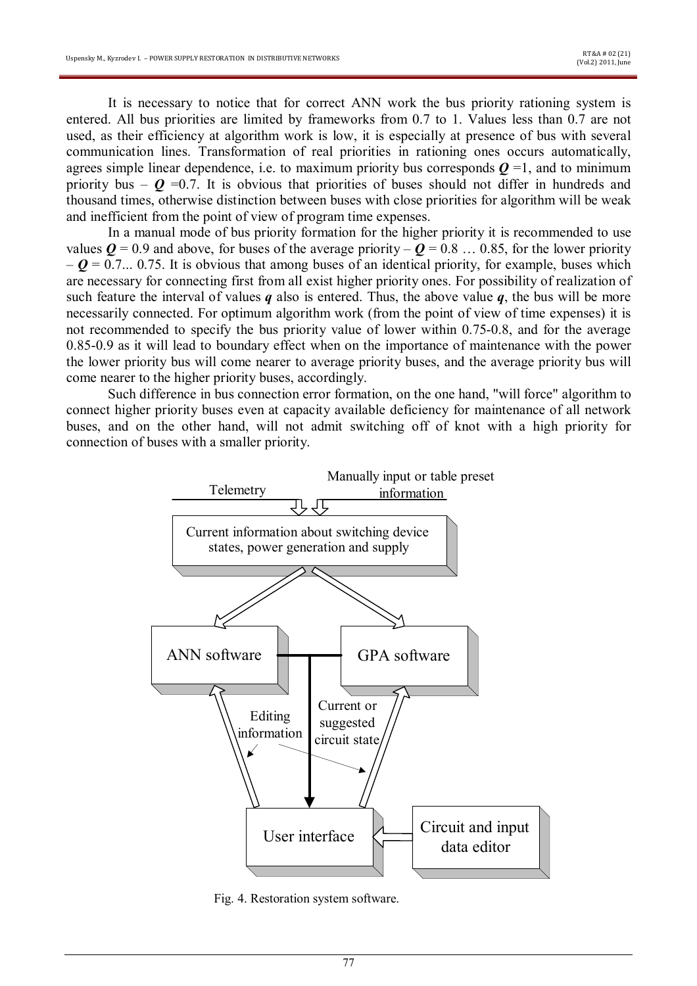It is necessary to notice that for correct ANN work the bus priority rationing system is entered. All bus priorities are limited by frameworks from 0.7 to 1. Values less than 0.7 are not used, as their efficiency at algorithm work is low, it is especially at presence of bus with several communication lines. Transformation of real priorities in rationing ones occurs automatically, agrees simple linear dependence, i.e. to maximum priority bus corresponds  $Q = 1$ , and to minimum priority bus –  $\mathbf{Q}$  =0.7. It is obvious that priorities of buses should not differ in hundreds and thousand times, otherwise distinction between buses with close priorities for algorithm will be weak and inefficient from the point of view of program time expenses.

In a manual mode of bus priority formation for the higher priority it is recommended to use values  $Q = 0.9$  and above, for buses of the average priority –  $Q = 0.8$  ... 0.85, for the lower priority  $-\boldsymbol{Q}$  = 0.7... 0.75. It is obvious that among buses of an identical priority, for example, buses which are necessary for connecting first from all exist higher priority ones. For possibility of realization of such feature the interval of values  $q$  also is entered. Thus, the above value  $q$ , the bus will be more necessarily connected. For optimum algorithm work (from the point of view of time expenses) it is not recommended to specify the bus priority value of lower within 0.75-0.8, and for the average 0.85-0.9 as it will lead to boundary effect when on the importance of maintenance with the power the lower priority bus will come nearer to average priority buses, and the average priority bus will come nearer to the higher priority buses, accordingly.

Such difference in bus connection error formation, on the one hand, "will force" algorithm to connect higher priority buses even at capacity available deficiency for maintenance of all network buses, and on the other hand, will not admit switching off of knot with a high priority for connection of buses with a smaller priority.



Fig. 4. Restoration system software.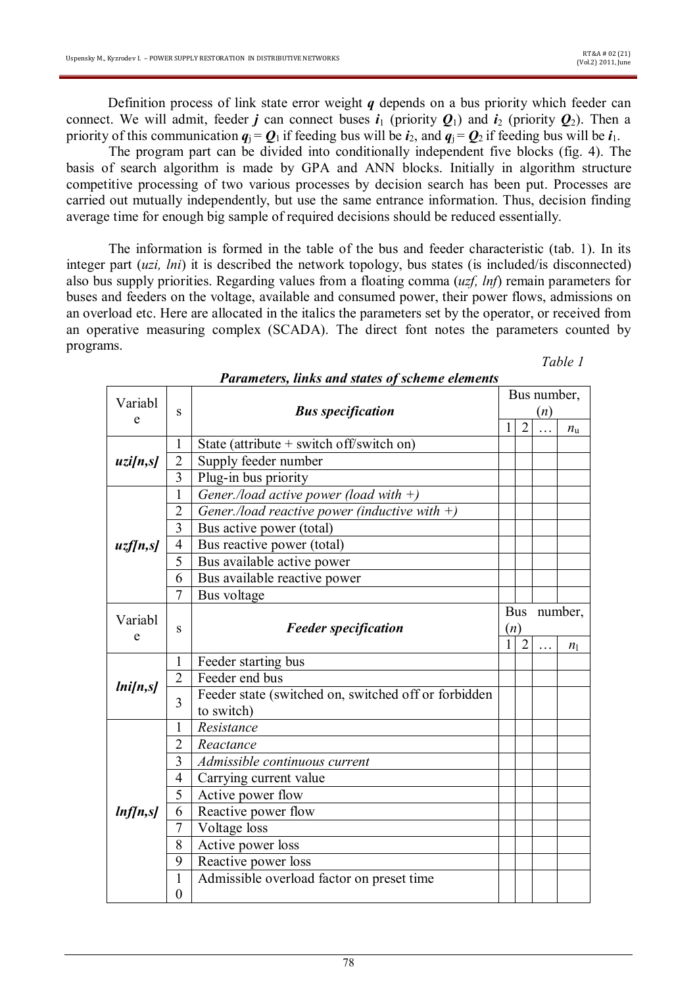Definition process of link state error weight *q* depends on a bus priority which feeder can connect. We will admit, feeder *j* can connect buses  $i_1$  (priority  $Q_1$ ) and  $i_2$  (priority  $Q_2$ ). Then a priority of this communication  $q_i = Q_1$  if feeding bus will be  $i_2$ , and  $q_i = Q_2$  if feeding bus will be  $i_1$ .

The program part can be divided into conditionally independent five blocks (fig. 4). The basis of search algorithm is made by GPA and ANN blocks. Initially in algorithm structure competitive processing of two various processes by decision search has been put. Processes are carried out mutually independently, but use the same entrance information. Thus, decision finding average time for enough big sample of required decisions should be reduced essentially.

The information is formed in the table of the bus and feeder characteristic (tab. 1). In its integer part (*uzi, lni*) it is described the network topology, bus states (is included/is disconnected) also bus supply priorities. Regarding values from a floating comma (*uzf, lnf*) remain parameters for buses and feeders on the voltage, available and consumed power, their power flows, admissions on an overload etc. Here are allocated in the italics the parameters set by the operator, or received from an operative measuring complex (SCADA). The direct font notes the parameters counted by programs.

| Table |  |
|-------|--|
|       |  |

| Variabl      |                         |                                                      | Bus number, |                |   |             |  |
|--------------|-------------------------|------------------------------------------------------|-------------|----------------|---|-------------|--|
| e            | S                       | <b>Bus specification</b>                             | (n)         |                |   |             |  |
|              |                         |                                                      |             | $\overline{2}$ |   | $n_{\rm u}$ |  |
| uzi[n,s]     | 1                       | State (attribute $+$ switch off/switch on)           |             |                |   |             |  |
|              | $\overline{2}$          | Supply feeder number                                 |             |                |   |             |  |
|              | 3                       | Plug-in bus priority                                 |             |                |   |             |  |
| uzf[n,s]     | $\mathbf{1}$            | Gener./load active power (load with $+)$             |             |                |   |             |  |
|              | $\overline{2}$          | Gener./load reactive power (inductive with $+)$      |             |                |   |             |  |
|              | $\overline{\mathbf{3}}$ | Bus active power (total)                             |             |                |   |             |  |
|              | $\overline{4}$          | Bus reactive power (total)                           |             |                |   |             |  |
|              | 5                       | Bus available active power                           |             |                |   |             |  |
|              | 6                       | Bus available reactive power                         |             |                |   |             |  |
|              | $\overline{7}$          | Bus voltage                                          |             |                |   |             |  |
|              |                         |                                                      | Bus number, |                |   |             |  |
| Variabl<br>e | S                       | <b>Feeder specification</b>                          |             | (n)            |   |             |  |
|              |                         |                                                      |             | $\overline{2}$ | . | $n_1$       |  |
|              | 1                       | Feeder starting bus                                  |             |                |   |             |  |
|              | $\overline{2}$          | Feeder end bus                                       |             |                |   |             |  |
| lnifn,s      | 3                       | Feeder state (switched on, switched off or forbidden |             |                |   |             |  |
|              |                         | to switch)                                           |             |                |   |             |  |
| ln[ln, s]    | 1                       | Resistance                                           |             |                |   |             |  |
|              | $\overline{2}$          | Reactance                                            |             |                |   |             |  |
|              | 3                       | Admissible continuous current                        |             |                |   |             |  |
|              | $\overline{4}$          | Carrying current value                               |             |                |   |             |  |
|              | 5                       | Active power flow                                    |             |                |   |             |  |
|              | 6                       | Reactive power flow                                  |             |                |   |             |  |
|              | 7                       | Voltage loss                                         |             |                |   |             |  |
|              | 8                       | Active power loss                                    |             |                |   |             |  |
|              | 9                       | Reactive power loss                                  |             |                |   |             |  |
|              | 1                       | Admissible overload factor on preset time            |             |                |   |             |  |
|              | $\boldsymbol{0}$        |                                                      |             |                |   |             |  |

*Parameters, links and states of scheme elements*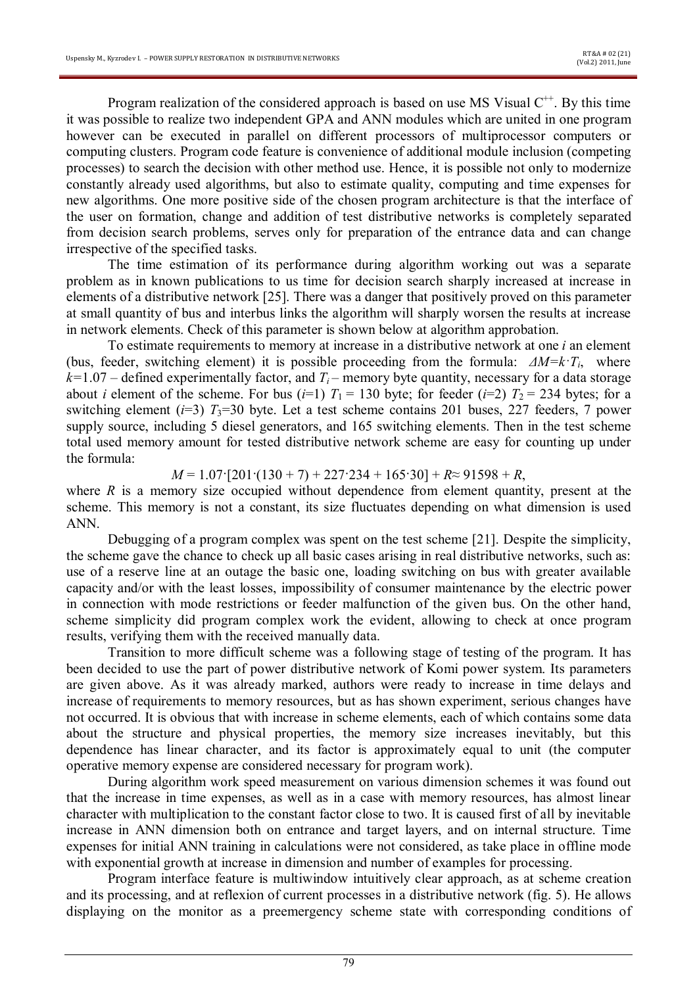Program realization of the considered approach is based on use MS Visual  $C^{++}$ . By this time it was possible to realize two independent GPA and ANN modules which are united in one program however can be executed in parallel on different processors of multiprocessor computers or computing clusters. Program code feature is convenience of additional module inclusion (competing processes) to search the decision with other method use. Hence, it is possible not only to modernize constantly already used algorithms, but also to estimate quality, computing and time expenses for new algorithms. One more positive side of the chosen program architecture is that the interface of the user on formation, change and addition of test distributive networks is completely separated from decision search problems, serves only for preparation of the entrance data and can change irrespective of the specified tasks.

The time estimation of its performance during algorithm working out was a separate problem as in known publications to us time for decision search sharply increased at increase in elements of a distributive network [25]. There was a danger that positively proved on this parameter at small quantity of bus and interbus links the algorithm will sharply worsen the results at increase in network elements. Check of this parameter is shown below at algorithm approbation.

To estimate requirements to memory at increase in a distributive network at one *i* an element (bus, feeder, switching element) it is possible proceeding from the formula: *ΔM=k·Ti*, where  $k=1.07$  – defined experimentally factor, and  $T_i$  – memory byte quantity, necessary for a data storage about *i* element of the scheme. For bus ( $i=1$ )  $T_1 = 130$  byte; for feeder ( $i=2$ )  $T_2 = 234$  bytes; for a switching element  $(i=3)$   $T_3=30$  byte. Let a test scheme contains 201 buses, 227 feeders, 7 power supply source, including 5 diesel generators, and 165 switching elements. Then in the test scheme total used memory amount for tested distributive network scheme are easy for counting up under the formula:

 $M = 1.07$ <sup>[</sup> $201$ <sup>(</sup> $130 + 7$ ) + 227<sup> $3234$ </sup> + 165<sup> $30$ </sup>] +  $R \approx 91598$  +  $R$ ,

where *R* is a memory size occupied without dependence from element quantity, present at the scheme. This memory is not a constant, its size fluctuates depending on what dimension is used ANN.

Debugging of a program complex was spent on the test scheme [21]. Despite the simplicity, the scheme gave the chance to check up all basic cases arising in real distributive networks, such as: use of a reserve line at an outage the basic one, loading switching on bus with greater available capacity and/or with the least losses, impossibility of consumer maintenance by the electric power in connection with mode restrictions or feeder malfunction of the given bus. On the other hand, scheme simplicity did program complex work the evident, allowing to check at once program results, verifying them with the received manually data.

Transition to more difficult scheme was a following stage of testing of the program. It has been decided to use the part of power distributive network of Komi power system. Its parameters are given above. As it was already marked, authors were ready to increase in time delays and increase of requirements to memory resources, but as has shown experiment, serious changes have not occurred. It is obvious that with increase in scheme elements, each of which contains some data about the structure and physical properties, the memory size increases inevitably, but this dependence has linear character, and its factor is approximately equal to unit (the computer operative memory expense are considered necessary for program work).

During algorithm work speed measurement on various dimension schemes it was found out that the increase in time expenses, as well as in a case with memory resources, has almost linear character with multiplication to the constant factor close to two. It is caused first of all by inevitable increase in ANN dimension both on entrance and target layers, and on internal structure. Time expenses for initial ANN training in calculations were not considered, as take place in offline mode with exponential growth at increase in dimension and number of examples for processing.

Program interface feature is multiwindow intuitively clear approach, as at scheme creation and its processing, and at reflexion of current processes in a distributive network (fig. 5). He allows displaying on the monitor as a preemergency scheme state with corresponding conditions of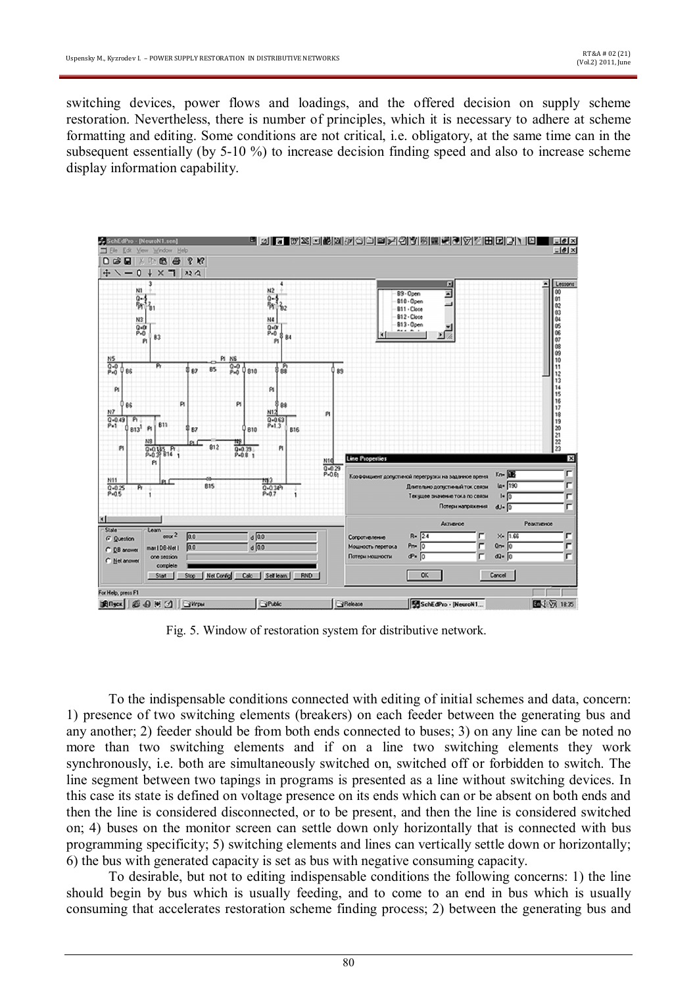switching devices, power flows and loadings, and the offered decision on supply scheme restoration. Nevertheless, there is number of principles, which it is necessary to adhere at scheme formatting and editing. Some conditions are not critical, i.e. obligatory, at the same time can in the subsequent essentially (by 5-10 %) to increase decision finding speed and also to increase scheme display information capability.



Fig. 5. Window of restoration system for distributive network.

To the indispensable conditions connected with editing of initial schemes and data, concern: 1) presence of two switching elements (breakers) on each feeder between the generating bus and any another; 2) feeder should be from both ends connected to buses; 3) on any line can be noted no more than two switching elements and if on a line two switching elements they work synchronously, i.e. both are simultaneously switched on, switched off or forbidden to switch. The line segment between two tapings in programs is presented as a line without switching devices. In this case its state is defined on voltage presence on its ends which can or be absent on both ends and then the line is considered disconnected, or to be present, and then the line is considered switched on; 4) buses on the monitor screen can settle down only horizontally that is connected with bus programming specificity; 5) switching elements and lines can vertically settle down or horizontally; 6) the bus with generated capacity is set as bus with negative consuming capacity.

To desirable, but not to editing indispensable conditions the following concerns: 1) the line should begin by bus which is usually feeding, and to come to an end in bus which is usually consuming that accelerates restoration scheme finding process; 2) between the generating bus and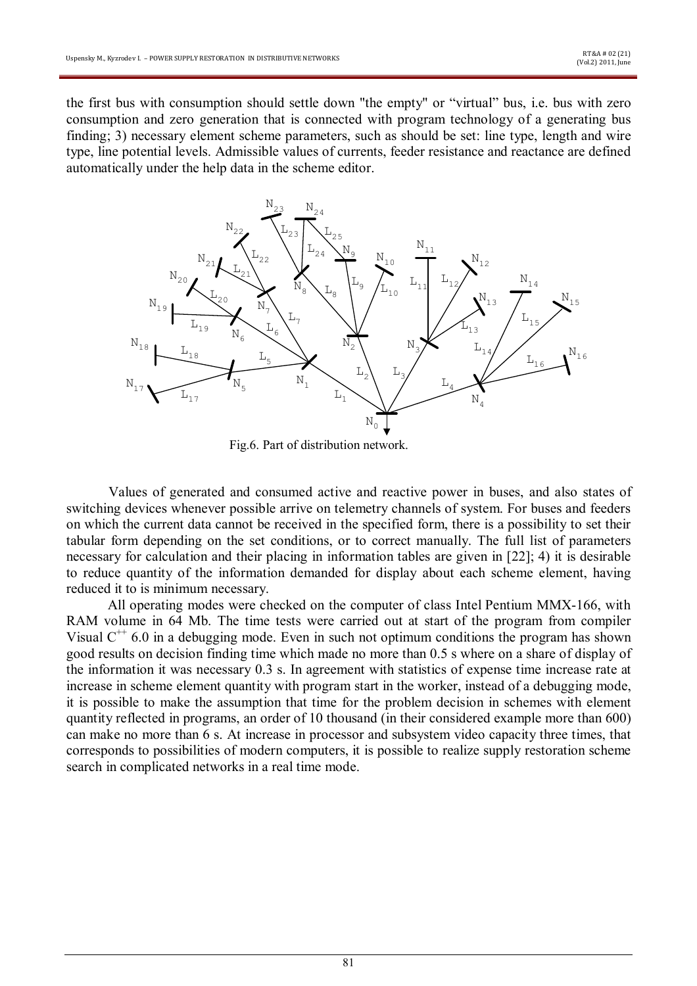the first bus with consumption should settle down "the empty" or "virtual" bus, i.e. bus with zero consumption and zero generation that is connected with program technology of a generating bus finding; 3) necessary element scheme parameters, such as should be set: line type, length and wire type, line potential levels. Admissible values of currents, feeder resistance and reactance are defined automatically under the help data in the scheme editor.



Fig.6. Part of distribution network.

Values of generated and consumed active and reactive power in buses, and also states of switching devices whenever possible arrive on telemetry channels of system. For buses and feeders on which the current data cannot be received in the specified form, there is a possibility to set their tabular form depending on the set conditions, or to correct manually. The full list of parameters necessary for calculation and their placing in information tables are given in [22]; 4) it is desirable to reduce quantity of the information demanded for display about each scheme element, having reduced it to is minimum necessary.

All operating modes were checked on the computer of class Intel Pentium MMX-166, with RAM volume in 64 Mb. The time tests were carried out at start of the program from compiler Visual  $C^{++}$  6.0 in a debugging mode. Even in such not optimum conditions the program has shown good results on decision finding time which made no more than 0.5 s where on a share of display of the information it was necessary 0.3 s. In agreement with statistics of expense time increase rate at increase in scheme element quantity with program start in the worker, instead of a debugging mode, it is possible to make the assumption that time for the problem decision in schemes with element quantity reflected in programs, an order of 10 thousand (in their considered example more than 600) can make no more than 6 s. At increase in processor and subsystem video capacity three times, that corresponds to possibilities of modern computers, it is possible to realize supply restoration scheme search in complicated networks in a real time mode.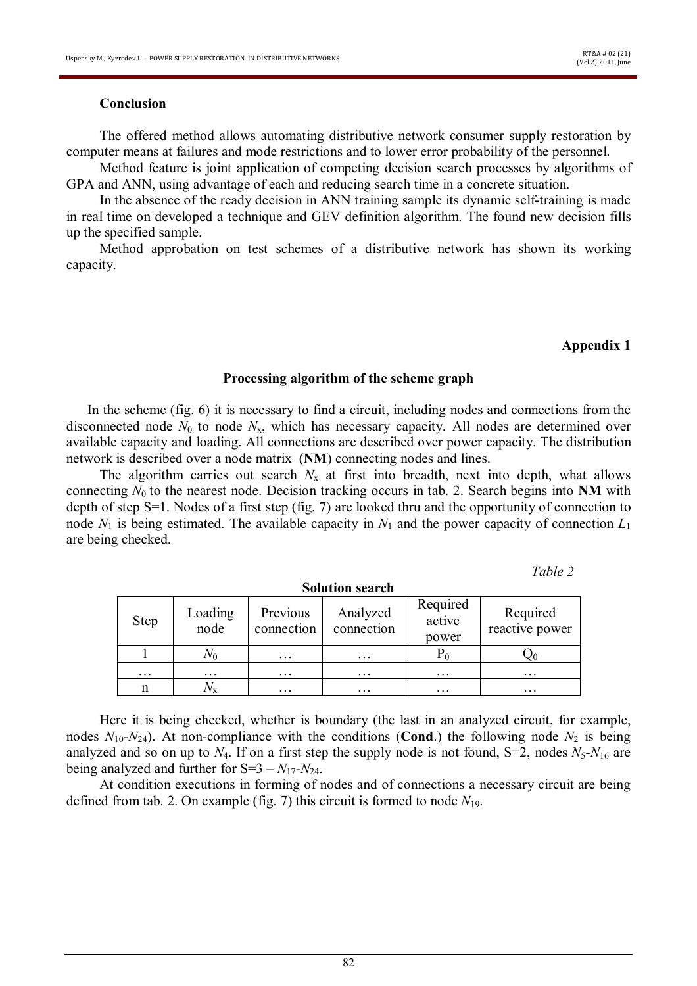### **Conclusion**

The offered method allows automating distributive network consumer supply restoration by computer means at failures and mode restrictions and to lower error probability of the personnel.

Method feature is joint application of competing decision search processes by algorithms of GPA and ANN, using advantage of each and reducing search time in a concrete situation.

In the absence of the ready decision in ANN training sample its dynamic self-training is made in real time on developed a technique and GEV definition algorithm. The found new decision fills up the specified sample.

Method approbation on test schemes of a distributive network has shown its working capacity.

#### **Appendix 1**

### **Processing algorithm of the scheme graph**

In the scheme (fig. 6) it is necessary to find a circuit, including nodes and connections from the disconnected node  $N_0$  to node  $N_x$ , which has necessary capacity. All nodes are determined over available capacity and loading. All connections are described over power capacity. The distribution network is described over a node matrix (**NM**) connecting nodes and lines.

The algorithm carries out search  $N_x$  at first into breadth, next into depth, what allows connecting  $N_0$  to the nearest node. Decision tracking occurs in tab. 2. Search begins into **NM** with depth of step S=1. Nodes of a first step (fig. 7) are looked thru and the opportunity of connection to node  $N_1$  is being estimated. The available capacity in  $N_1$  and the power capacity of connection  $L_1$ are being checked.

*Table 2*

| Step     | Loading<br>node   | Previous<br>connection | Analyzed<br>connection | Required<br>active<br>power | Required<br>reactive power |
|----------|-------------------|------------------------|------------------------|-----------------------------|----------------------------|
|          |                   | $\cdot\cdot\cdot$      | $\cdots$               |                             |                            |
| $\cdots$ | $\cdot\cdot\cdot$ | $\cdot\cdot\cdot$      | $\cdots$               | $\cdots$                    | $\cdots$                   |
| n        |                   | $\cdot\cdot\cdot$      | $\cdots$               | $\cdots$                    | $\cdots$                   |

**Solution search**

Here it is being checked, whether is boundary (the last in an analyzed circuit, for example, nodes  $N_{10} - N_{24}$ ). At non-compliance with the conditions (**Cond**.) the following node  $N_2$  is being analyzed and so on up to  $N_4$ . If on a first step the supply node is not found, S=2, nodes  $N_5$ - $N_{16}$  are being analyzed and further for  $S=3 - N_{17}-N_{24}$ .

At condition executions in forming of nodes and of connections a necessary circuit are being defined from tab. 2. On example (fig. 7) this circuit is formed to node  $N_{19}$ .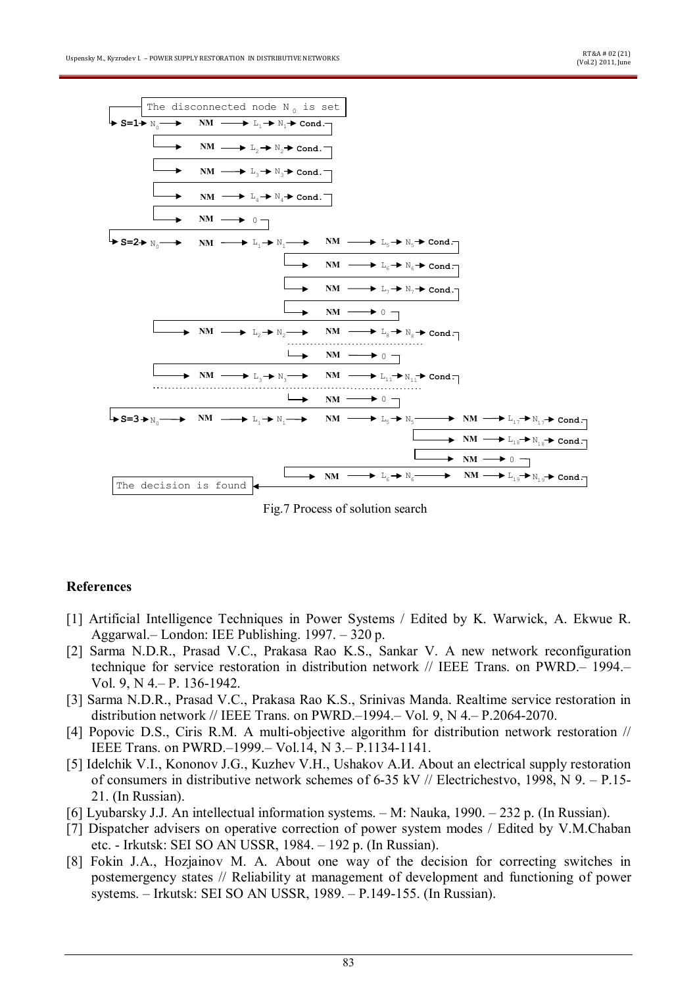

Fig.7 Process of solution search

## **References**

- [1] Artificial Intelligence Techniques in Power Systems / Edited by K. Warwick, A. Ekwue R. Aggarwal.– London: IEE Publishing. 1997. – 320 p.
- [2] Sarma N.D.R., Prasad V.C., Prakasa Rao K.S., Sankar V. A new network reconfiguration technique for service restoration in distribution network // IEEE Trans. on PWRD.– 1994.– Vol. 9, N 4.– P. 136-1942.
- [3] Sarma N.D.R., Prasad V.C., Prakasa Rao K.S., Srinivas Manda. Realtime service restoration in distribution network // IEEE Trans. on PWRD.–1994.– Vol. 9, N 4.– P.2064-2070.
- [4] Popovic D.S., Ciris R.M. A multi-objective algorithm for distribution network restoration // IEEE Trans. on PWRD.–1999.– Vol.14, N 3.– P.1134-1141.
- [5] Idelchik V.I., Kononov J.G., Kuzhev V.H., Ushakov A.*H.* About an electrical supply restoration of consumers in distributive network schemes of 6-35 kV // Electrichestvo, 1998, N 9. – P.15- 21. (In Russian).
- [6] Lyubarsky J.J. An intellectual information systems. M: Nauka, 1990. 232 p. (In Russian).
- [7] Dispatcher advisers on operative correction of power system modes / Edited by V.M.Chaban etc. - Irkutsk: SEI SO AN USSR, 1984. – 192 p. (In Russian).
- [8] Fokin J.A., Hozjainov M. A. About one way of the decision for correcting switches in postemergency states // Reliability at management of development and functioning of power systems. – Irkutsk: SEI SO AN USSR, 1989. – P.149-155. (In Russian).